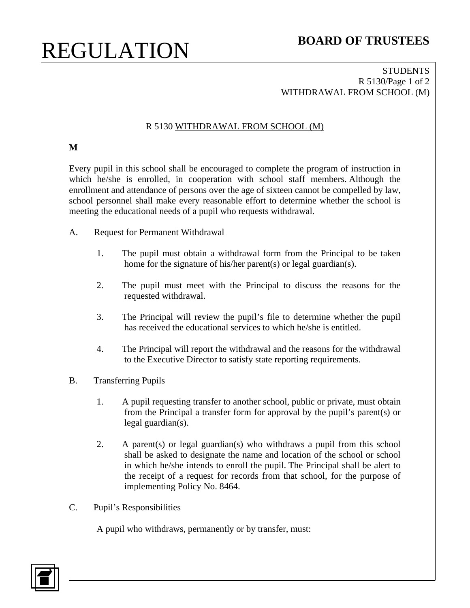# REGULATION **BOARD OF TRUSTEES**

### **STUDENTS** R 5130/Page 1 of 2 WITHDRAWAL FROM SCHOOL (M)

## R 5130 WITHDRAWAL FROM SCHOOL (M)

## **M**

Every pupil in this school shall be encouraged to complete the program of instruction in which he/she is enrolled, in cooperation with school staff members. Although the enrollment and attendance of persons over the age of sixteen cannot be compelled by law, school personnel shall make every reasonable effort to determine whether the school is meeting the educational needs of a pupil who requests withdrawal.

- A. Request for Permanent Withdrawal
	- 1. The pupil must obtain a withdrawal form from the Principal to be taken home for the signature of his/her parent(s) or legal guardian(s).
	- 2. The pupil must meet with the Principal to discuss the reasons for the requested withdrawal.
	- 3. The Principal will review the pupil's file to determine whether the pupil has received the educational services to which he/she is entitled.
	- 4. The Principal will report the withdrawal and the reasons for the withdrawal to the Executive Director to satisfy state reporting requirements.
- B. Transferring Pupils
	- 1. A pupil requesting transfer to another school, public or private, must obtain from the Principal a transfer form for approval by the pupil's parent(s) or legal guardian(s).
	- 2. A parent(s) or legal guardian(s) who withdraws a pupil from this school shall be asked to designate the name and location of the school or school in which he/she intends to enroll the pupil. The Principal shall be alert to the receipt of a request for records from that school, for the purpose of implementing Policy No. 8464.
- C. Pupil's Responsibilities

A pupil who withdraws, permanently or by transfer, must: